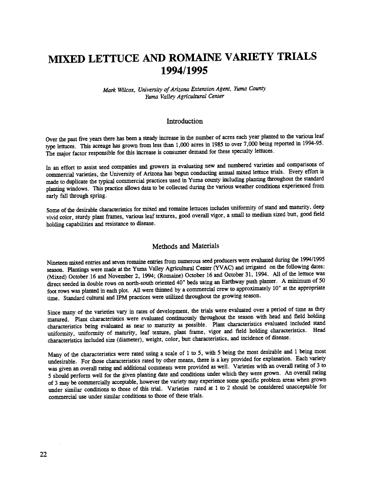# MIXED LETTUCE AND ROMAINE VARIETY TRIALS 1994/1995

### Mark Wilcox, University of Arizona Extension Agent, Yuma County Yuma Valley Agricultural Center

### Introduction

Over the past five years there has been a steady increase in the number of acres each year planted to the various leaf type lettuces. This acreage has grown from less than 1,000 acres in 1985 to over 7,000 being reported in 1994-95. The major factor responsible for this increase is consumer demand for these specialty lettuces.

In an effort to assist seed companies and growers in evaluating new and numbered varieties and comparisons of commercial varieties, the University of Arizona has begun conducting annual mixed lettuce trials. Every effort is made to duplicate the typical commercial practices used in Yuma county including planting throughout the standard planting windows. This practice allows data to be collected during the various weather conditions experienced from early fall through spring.

Some of the desirable characteristics for mixed and romaine lettuces includes uniformity of stand and maturity, deep vivid color, sturdy plant frames, various leaf textures, good overall vigor, a small to medium sized butt, good field holding capabilities and resistance to disease.

### Methods and Materials

Nineteen mixed entries and seven romaine entries from numerous seed producers were evaluated during the 1994/1995 season. Plantings were made at the Yuma Valley Agricultural Center (YVAC) and irrigated on the following dates: (Mixed) October 16 and November 2, 1994; (Romaine) October 16 and October 31, 1994. All of the lettuce was direct seeded in double rows on north-south oriented 40" beds using an Earthway push planter. A minimum of 50 foot rows was planted in each plot. All were thinned by a commercial crew to approximately 10" at the appropriate time. Standard cultural and IPM practices were utilized throughout the growing season.

Since many of the varieties vary in rates of development, the trials were evaluated over a period of time as they matured. Plant characteristics were evaluated continuously throughout the season with head and field holding characteristics being evaluated as near to maturity as possible. Plant characteristics evaluated included stand uniformity, uniformity of maturity, leaf texture, plant frame, vigor and field holding characteristics. Head characteristics included size (diameter), weight, color, butt characteristics, and incidence of disease.

Many of the characteristics were rated using a scale of 1 to 5, with 5 being the most desirable and i being most undesirable. For those characteristics rated by other means, there is a key provided for explanation. Each variety was given an overall rating and additional comments were provided as well. Varieties with an overall rating of 3 to 5 should perform well for the given planting date and conditions under which they were grown. An overall rating of 3 may be commercially acceptable, however the variety may experience some specific problem areas when grown under similar conditions to those of this trial. Varieties rated at 1 to 2 should be considered unacceptable for commercial use under similar conditions to those of these trials.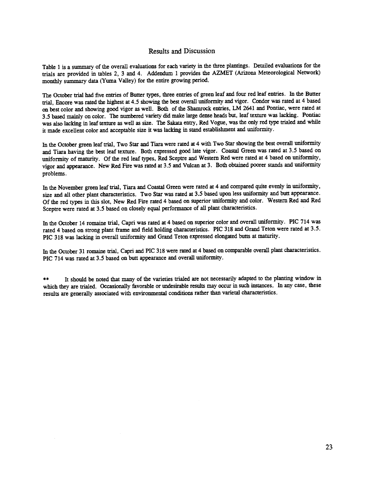### Results and Discussion

Table 1 is a summary of the overall evaluations for each variety in the three plantings. Detailed evaluations for the trials are provided in tables 2, 3 and 4. Addendum 1 provides the AZMET (Arizona Meteorological Network) monthly summary data (Yuma Valley) for the entire growing period.

The October trial had five entries of Butter types, three entries of green leaf and four red leaf entries. In the Butter trial, Encore was rated the highest at 4.5 showing the best overall uniformity and vigor. Condor was rated at 4 based on best color and showing good vigor as well. Both of the Shamrock entries, LM 2641 and Pontiac, were rated at 3.5 based mainly on color. The numbered variety did make large dense heads but, leaf texture was lacking. Pontiac was also lacking in leaf texture as well as size. The Sakata entry, Red Vogue, was the only red type trialed and while it made excellent color and acceptable size it was lacking in stand establishment and uniformity.

In the October green leaf trial, Two Star and Tiara were rated at 4 with Two Star showing the best overall uniformity and Tiara having the best leaf texture. Both expressed good late vigor. Coastal Green was rated at 3.5 based on uniformity of maturity. Of the red leaf types, Red Sceptre and Western Red were rated at 4 based on uniformity, vigor and appearance. New Red Fire was rated at 3.5 and Vulcan at 3. Both obtained poorer stands anduniformity problems.

In the November green leaf trial, Tiara and Coastal Green were rated at 4 and compared quite evenly in uniformity, size and all other plant characteristics. Two Star was rated at 3.5 based upon less uniformity and butt appearance. Of the red types in this slot, New Red Fire rated 4 based on superior uniformity and color. Western Red and Red Sceptre were rated at 3.5 based on closely equal performance of all plant characteristics.

In the October 14 romaine trial, Capri was rated at 4 based on superior color and overall uniformity. PIC 714 was rated 4 based on strong plant frame and field holding characteristics. PIC 318 and Grand Teton were rated at 3.5. PIC 318 was lacking in overall uniformity and Grand Teton expressed elongated butts at maturity.

In the October 31 romaine trial, Capri and PIC 318 were rated at 4 based on comparable overall plant characteristics. PIC 714 was rated at 3.5 based on butt appearance and overall uniformity.

\*\* It should be noted that many of the varieties trialed are not necessarily adapted to the planting window in which they are trialed. Occasionally favorable or undesirable results may occur in such instances. In any case, these results are generally associated with environmental conditions rather than varietal characteristics.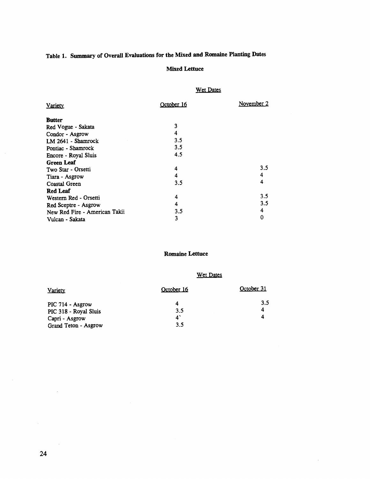# Table 1. Summary of Overall Evaluations for the Mixed and Romaine Planting Dates

### Mixed Lettuce

### Wet Dates

| Variety                       | October 16 | November 2 |
|-------------------------------|------------|------------|
| <b>Butter</b>                 |            |            |
| Red Vogue - Sakata            | 3          |            |
| Condor - Asgrow               | 4          |            |
| LM 2641 - Shamrock            | 3.5        |            |
| Pontiac - Shamrock            | 3.5        |            |
| Encore - Royal Sluis          | 4.5        |            |
| <b>Green Leaf</b>             |            |            |
| Two Star - Orsetti            | 4          | 3.5        |
| Tiara - Asgrow                | 4          | 4          |
| Coastal Green                 | 3.5        | 4          |
| <b>Red Leaf</b>               |            |            |
| Western Red - Orsetti         | 4          | 3.5        |
| Red Sceptre - Asgrow          | 4          | 3.5        |
| New Red Fire - American Takii | 3.5        | 4          |
| Vulcan - Sakata               | 3          | 0          |

### Romaine Lettuce

## Wet Dates

| <b>Variety</b>        | October 16     | October 31 |
|-----------------------|----------------|------------|
| PIC 714 - Asgrow      |                | 3.5        |
| PIC 318 - Royal Sluis | 3.5            |            |
| Capri - Asgrow        | $\mathbf{A}^*$ |            |
| Grand Teton - Asgrow  | 3.5            |            |

 $\bar{z}$ 

 $\sim$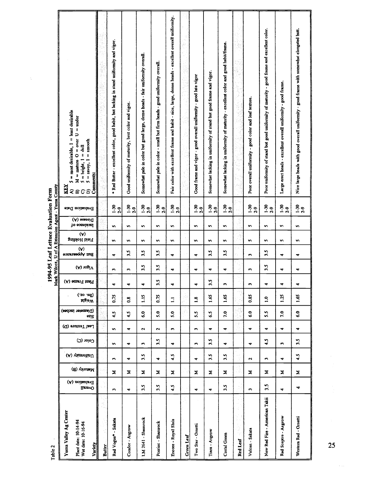| Table 2                                                                        |                                                 |              |                         |           |                         |                           |                           |                           |                                   |                              |                     | 1994-95 Leaf Lettuce Evaluation Form | Mark Wilcox, U of A Extension Agent - Yuma County                                                                                                                                                                                 |  |
|--------------------------------------------------------------------------------|-------------------------------------------------|--------------|-------------------------|-----------|-------------------------|---------------------------|---------------------------|---------------------------|-----------------------------------|------------------------------|---------------------|--------------------------------------|-----------------------------------------------------------------------------------------------------------------------------------------------------------------------------------------------------------------------------------|--|
| Yuma Valley Ag Center<br>Plant date: 10-14-94<br>Wet date: 10-16-94<br>Variety | $(\mathbb{A})$ noitsulev<br>H<br><b>Uverall</b> | Maturity (B) | (A) viamotinU           | Color (C) | Leaf Texture (D)        | (Diameter inches)<br>əzis | ('zo 'sq)<br><b>MaisW</b> | (A) amen'l inal'i         | Buti Appearance<br>$(A)$ 10gi $V$ | gnibloH bleiT<br>$(\forall)$ | lo eonebionI<br>(v) | Bvaluation Date<br>Disease (A)       | $=$ most desirable, $1 =$ least desirable<br>$=$ under<br>$M =$ mature $O =$ over U<br>$=$ smooth<br>뒿<br>$\parallel$<br>$=$ bright, $1$<br>$5 = \text{savy}, 1$<br>A) $5 = m$<br>B) $M = n$<br>C) $5 = br$<br>D) $5 = sn$<br>KEY |  |
| k.<br><b>Butter</b>                                                            | ιģ                                              |              |                         |           | f.                      |                           |                           |                           |                                   |                              |                     |                                      |                                                                                                                                                                                                                                   |  |
| Red Vogue* - Sakata                                                            | $\blacksquare$                                  | z            | L.                      | s         | S                       | 4.5                       | 0.75                      | w<br>÷                    | 4                                 | S                            | n                   | $-2.9$                               | * Red Butter - excellent color, good habit, but lacking in stand uniformity and vigor.                                                                                                                                            |  |
| Condor - Asgrow                                                                | $\blacktriangledown$                            | z            | 4                       | ₹         | ٠                       | $\ddot{ }$                | $_{\rm o}^{\rm s}$        | <b>CO</b><br>4            | 3.5                               | n                            | n                   | $1 - 30$<br>2.9                      | Good uniformity of maturity, best color and vigor.                                                                                                                                                                                |  |
| LM 2641 - Shamrock                                                             | 3.5                                             | Σ            | 3.5                     | ĥ,        | $\sim$                  | $\mathbf{6.0}$            | 1.15                      | $\blacktriangledown$      | 3.5<br>3.5                        | S                            | S                   | $1.30$<br>$2.9$                      | Somewhat pale in color but good large, dense heads - fair uniformity overall.                                                                                                                                                     |  |
| Pontiac - Shanrock                                                             | 3.5                                             | Σ            | ÷                       | 3.5       | $\overline{\mathbf{r}}$ | 5.0                       | 0.75                      | ្ណ                        | 3.5<br>3.5                        | n                            | s,                  | $-30$<br>$2.9$                       | Somewhat pale in color - small but firm heads - good uniformity overall.                                                                                                                                                          |  |
| Encore - Royal Sluis                                                           | 4.5                                             | Σ            | 4.5                     | 4         | $\blacksquare$          | 5.0                       | Ξ                         | 4<br>$\blacktriangledown$ | 4                                 | n                            | n                   | $1.30$<br>$2.9$                      | Fair color with excellent frame and habit - nice, large, dense heads - excellent overall uniformity.                                                                                                                              |  |
| Green Leaf                                                                     |                                                 |              |                         |           |                         |                           |                           |                           |                                   |                              |                     |                                      |                                                                                                                                                                                                                                   |  |
| Two Star - Orsetti                                                             | ₹                                               | Σ            | ₹                       | c         | m                       | 5.5                       | $\ddot{.}$                | ₩<br>$\ddot{\phantom{0}}$ | ₩                                 | n                            | n                   | $-30$<br>$2.9$                       | Good frame and vigor - good overall uniformity - good late vigor                                                                                                                                                                  |  |
| Tiara - Asgrow                                                                 | ₹                                               | z            | 3.5                     | 3.5       | ₩                       | 5.9                       | 1.65                      | 4<br>$\ddot{a}$           | 3.5                               | S                            | n                   | $1 - 30$<br>$2 - 9$                  | Somewhat lacking in uniformity of stand but good frame and vigor.                                                                                                                                                                 |  |
| Costal Green                                                                   | 3.5                                             | z            | 3.5                     | 4         | ₹                       | 7.0                       | 1.65                      | 4<br>$\blacksquare$       | 3.5                               | n                            | n                   | $1 - 30$<br>2-9                      | Somewhat lacking in uniformity of maturity - excellent color and good habit/frame.                                                                                                                                                |  |
| Red Leaf                                                                       |                                                 | 4            | $\sim$                  |           |                         |                           |                           |                           |                                   |                              |                     |                                      |                                                                                                                                                                                                                                   |  |
| Vulcan - Sakata                                                                | <b>Co</b>                                       | z            | $\overline{\mathbf{r}}$ | 4         | 4                       | $\ddot{\phantom{0}}$      | 0.85                      | w<br>$\blacksquare$       | w                                 | n                            | n                   | $\frac{5}{2}$                        | Poor overall uniformity - good color and leaf texture.                                                                                                                                                                            |  |
| New Red Fire - American Takii                                                  | 3.5                                             | Σ            | <b>Co</b>               | 4.5       | 4                       | 5.5                       | $\ddot{ }$                | 4                         | 3.5<br>3.5                        | S                            | S                   | $-30$<br>2.9                         | Poor uniformity of stand but good uniformity of maturity - good frame and excellent color.                                                                                                                                        |  |
| Red Sceptre - Asgrow                                                           | 4                                               | Σ            | ٠                       | w         | 4                       | 7.0                       | 1.25                      | ₹<br>$\blacktriangledown$ | 4                                 | s                            | n                   | $-2.9$                               | - good frame.<br>Large erect heads - excellent overall uniformity                                                                                                                                                                 |  |
| Western Red - Orsetti                                                          | 4                                               | Σ            | 4.5                     | 3.5       | 4                       | $\ddot{\bullet}$ .0       | 1.65                      | 4<br>$\blacktriangledown$ | 4                                 | s                            | S.                  | $39$<br>$2.9$                        | Nice large heads with good overall uniformity - good frame with somewhat elongated butt.                                                                                                                                          |  |
| 25                                                                             |                                                 |              |                         |           |                         |                           |                           |                           |                                   |                              |                     |                                      |                                                                                                                                                                                                                                   |  |

 $\tilde{\mathcal{A}}$ 

 $\sim$   $\sim$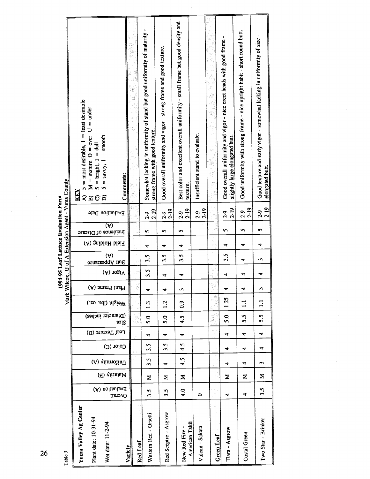| Mark Wilcox, U of A Extension Agent - Yuma County | $=$ most desirable, $1 =$ least desirable<br>$M =$ mature O = over U = under<br>$5 =$ savoy, $1 =$ smooth<br>$=$ bright, $1 =$ dull<br>Comments:<br>KEY<br>ବଳପରି |          | Somewhat lacking in uniformity of stand but good uniformity of maturity<br>strong frame with good texture. | Good overall uniformity and vigor - strong frame and good texture. | Best color and excellent overall uniformity - small frame but good density and<br>texture. | Insufficient stand to evaluate. |            | Good overall uniformity and vigor - nice erect heads with good frame<br>slightly large elongated butt. | Good uniformity with strong frame - nice upright habit - short round butt. | Good texture and early vigor - somewhat lacking in uniformity of size<br>elongated butt. |
|---------------------------------------------------|------------------------------------------------------------------------------------------------------------------------------------------------------------------|----------|------------------------------------------------------------------------------------------------------------|--------------------------------------------------------------------|--------------------------------------------------------------------------------------------|---------------------------------|------------|--------------------------------------------------------------------------------------------------------|----------------------------------------------------------------------------|------------------------------------------------------------------------------------------|
| 1994-95 Leaf Lettuce Evaluation Form              | Evaluation Date                                                                                                                                                  |          | $2 - 19$<br>$2 - 9$                                                                                        | $2 - 19$<br>$2 - 9$                                                | $2 - 19$<br>$2 - 9$                                                                        | $2 - 19$<br>$2-9$               |            | $2 - 19$<br>$2-9$                                                                                      | $2 - 19$<br>$2 - 9$                                                        | $2 - 19$<br>$2 - 9$                                                                      |
|                                                   | $\overline{(A)}$<br>Incidence of Disease                                                                                                                         |          | n                                                                                                          | n                                                                  | n                                                                                          |                                 |            | s                                                                                                      | n                                                                          | n                                                                                        |
|                                                   | Field Holding (A)                                                                                                                                                |          | ₹                                                                                                          | 4                                                                  | ₹                                                                                          |                                 |            | ₹                                                                                                      | ෑ                                                                          | 4                                                                                        |
|                                                   | $(\forall)$<br>Butt Appearance                                                                                                                                   |          | 3.5                                                                                                        | 3.5                                                                | 3.5                                                                                        |                                 |            | 3.5                                                                                                    | 4                                                                          | 3                                                                                        |
|                                                   | $V$ igor (A)                                                                                                                                                     |          | 3.5                                                                                                        | 4                                                                  | 4                                                                                          |                                 |            | 4                                                                                                      | ෑ                                                                          | ₹                                                                                        |
|                                                   | Plant Frame (A)                                                                                                                                                  |          | ₹                                                                                                          | ₹                                                                  | S                                                                                          |                                 |            | ₹                                                                                                      | ₹                                                                          | S                                                                                        |
|                                                   | Weight (lbs. oz.)                                                                                                                                                |          | $\mathbf{L}^3$                                                                                             | $\frac{2}{1}$                                                      | $\overline{0}$ .                                                                           |                                 |            | 1.25                                                                                                   | $\Xi$                                                                      | $\Xi$                                                                                    |
|                                                   | (Diameter inches)<br>azi2                                                                                                                                        |          | 5.0                                                                                                        | 5.0                                                                | 4.5                                                                                        |                                 |            | 5.0                                                                                                    | 5.5                                                                        | 5.5                                                                                      |
|                                                   | Leaf Texture (D)                                                                                                                                                 |          | 4                                                                                                          | 4                                                                  | 4                                                                                          |                                 |            | 4                                                                                                      | ₹                                                                          | 4                                                                                        |
|                                                   | $Color$ $(C)$                                                                                                                                                    |          | 3.5                                                                                                        | 3.5                                                                | 4.5                                                                                        |                                 |            | 4                                                                                                      | 4                                                                          | ₹                                                                                        |
|                                                   | (A) viimiotinU                                                                                                                                                   |          | 3.5                                                                                                        | ₹                                                                  | 4.5                                                                                        |                                 |            | 4                                                                                                      | 4                                                                          | S                                                                                        |
|                                                   | (d) virunsM                                                                                                                                                      |          | Σ                                                                                                          | Σ                                                                  | Σ                                                                                          |                                 |            | Σ                                                                                                      | Σ                                                                          | Σ                                                                                        |
|                                                   | Evaluation (A)<br>Overall                                                                                                                                        |          | 3.5                                                                                                        | 3.5                                                                | 4.0                                                                                        | $\circ$                         |            | ₹                                                                                                      | 4                                                                          | 3.5                                                                                      |
| Table 3                                           | Yuma Valley Ag Center<br>Plant date: 10-31-94<br>Wet date: 11-2-94<br>Variety                                                                                    | Red Leaf | Western Red - Orsetti                                                                                      | Red Sceptre - Asgrow                                               | American Takii<br>New Red Fire                                                             | Vulcan - Sakata                 | Green Leaf | Tiara - Asgrow                                                                                         | Costal Green                                                               | Two Star - Brinker                                                                       |